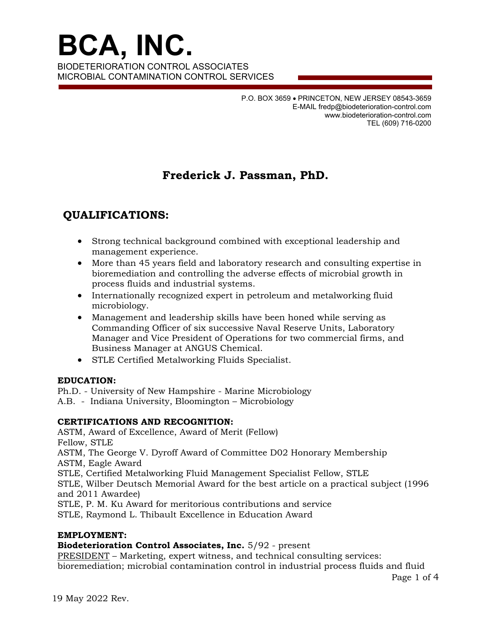**BCA, INC.**  BIODETERIORATION CONTROL ASSOCIATES MICROBIAL CONTAMINATION CONTROL SERVICES

> P.O. BOX 3659 PRINCETON, NEW JERSEY 08543-3659 E-MAIL fredp@biodeterioration-control.com www.biodeterioration-control.com TEL (609) 716-0200

# **Frederick J. Passman, PhD.**

## **QUALIFICATIONS:**

- Strong technical background combined with exceptional leadership and management experience.
- More than 45 years field and laboratory research and consulting expertise in bioremediation and controlling the adverse effects of microbial growth in process fluids and industrial systems.
- Internationally recognized expert in petroleum and metalworking fluid microbiology.
- Management and leadership skills have been honed while serving as Commanding Officer of six successive Naval Reserve Units, Laboratory Manager and Vice President of Operations for two commercial firms, and Business Manager at ANGUS Chemical.
- STLE Certified Metalworking Fluids Specialist.

## **EDUCATION:**

Ph.D. - University of New Hampshire - Marine Microbiology

A.B. - Indiana University, Bloomington – Microbiology

## **CERTIFICATIONS AND RECOGNITION:**

ASTM, Award of Excellence, Award of Merit (Fellow) Fellow, STLE ASTM, The George V. Dyroff Award of Committee D02 Honorary Membership ASTM, Eagle Award STLE, Certified Metalworking Fluid Management Specialist Fellow, STLE STLE, Wilber Deutsch Memorial Award for the best article on a practical subject (1996 and 2011 Awardee) STLE, P. M. Ku Award for meritorious contributions and service

STLE, Raymond L. Thibault Excellence in Education Award

## **EMPLOYMENT:**

**Biodeterioration Control Associates, Inc.** 5/92 - present

PRESIDENT – Marketing, expert witness, and technical consulting services: bioremediation; microbial contamination control in industrial process fluids and fluid

Page 1 of 4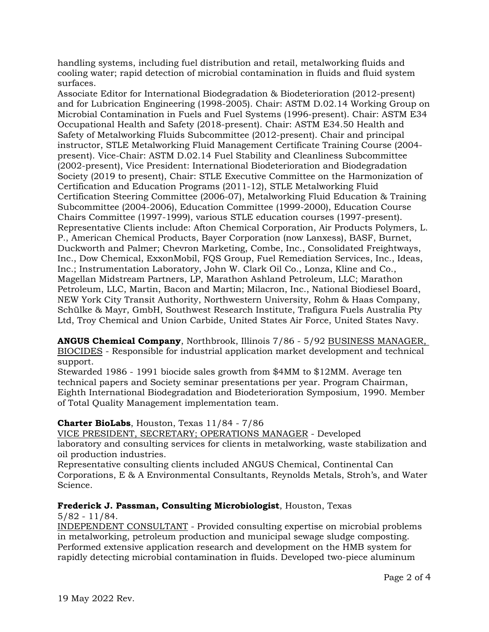handling systems, including fuel distribution and retail, metalworking fluids and cooling water; rapid detection of microbial contamination in fluids and fluid system surfaces.

Associate Editor for International Biodegradation & Biodeterioration (2012-present) and for Lubrication Engineering (1998-2005). Chair: ASTM D.02.14 Working Group on Microbial Contamination in Fuels and Fuel Systems (1996-present). Chair: ASTM E34 Occupational Health and Safety (2018-present). Chair: ASTM E34.50 Health and Safety of Metalworking Fluids Subcommittee (2012-present). Chair and principal instructor, STLE Metalworking Fluid Management Certificate Training Course (2004 present). Vice-Chair: ASTM D.02.14 Fuel Stability and Cleanliness Subcommittee (2002-present), Vice President: International Biodeterioration and Biodegradation Society (2019 to present), Chair: STLE Executive Committee on the Harmonization of Certification and Education Programs (2011-12), STLE Metalworking Fluid Certification Steering Committee (2006-07), Metalworking Fluid Education & Training Subcommittee (2004-2006), Education Committee (1999-2000), Education Course Chairs Committee (1997-1999), various STLE education courses (1997-present). Representative Clients include: Afton Chemical Corporation, Air Products Polymers, L. P., American Chemical Products, Bayer Corporation (now Lanxess), BASF, Burnet, Duckworth and Palmer; Chevron Marketing, Combe, Inc., Consolidated Freightways, Inc., Dow Chemical, ExxonMobil, FQS Group, Fuel Remediation Services, Inc., Ideas, Inc.; Instrumentation Laboratory, John W. Clark Oil Co., Lonza, Kline and Co., Magellan Midstream Partners, LP, Marathon Ashland Petroleum, LLC; Marathon Petroleum, LLC, Martin, Bacon and Martin; Milacron, Inc., National Biodiesel Board, NEW York City Transit Authority, Northwestern University, Rohm & Haas Company, Schülke & Mayr, GmbH, Southwest Research Institute, Trafigura Fuels Australia Pty Ltd, Troy Chemical and Union Carbide, United States Air Force, United States Navy.

**ANGUS Chemical Company**, Northbrook, Illinois 7/86 - 5/92 BUSINESS MANAGER, BIOCIDES - Responsible for industrial application market development and technical support.

Stewarded 1986 - 1991 biocide sales growth from \$4MM to \$12MM. Average ten technical papers and Society seminar presentations per year. Program Chairman, Eighth International Biodegradation and Biodeterioration Symposium, 1990. Member of Total Quality Management implementation team.

## **Charter BioLabs**, Houston, Texas 11/84 - 7/86

VICE PRESIDENT, SECRETARY; OPERATIONS MANAGER - Developed laboratory and consulting services for clients in metalworking, waste stabilization and oil production industries.

Representative consulting clients included ANGUS Chemical, Continental Can Corporations, E & A Environmental Consultants, Reynolds Metals, Stroh's, and Water Science.

## **Frederick J. Passman, Consulting Microbiologist**, Houston, Texas

5/82 - 11/84.

INDEPENDENT CONSULTANT - Provided consulting expertise on microbial problems in metalworking, petroleum production and municipal sewage sludge composting. Performed extensive application research and development on the HMB system for rapidly detecting microbial contamination in fluids. Developed two-piece aluminum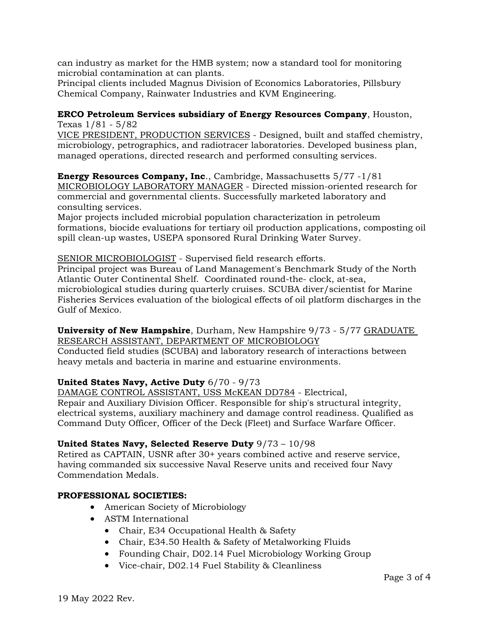can industry as market for the HMB system; now a standard tool for monitoring microbial contamination at can plants.

Principal clients included Magnus Division of Economics Laboratories, Pillsbury Chemical Company, Rainwater Industries and KVM Engineering.

#### **ERCO Petroleum Services subsidiary of Energy Resources Company**, Houston, Texas 1/81 - 5/82

VICE PRESIDENT, PRODUCTION SERVICES - Designed, built and staffed chemistry, microbiology, petrographics, and radiotracer laboratories. Developed business plan, managed operations, directed research and performed consulting services.

**Energy Resources Company, Inc**., Cambridge, Massachusetts 5/77 -1/81 MICROBIOLOGY LABORATORY MANAGER - Directed mission-oriented research for commercial and governmental clients. Successfully marketed laboratory and consulting services.

Major projects included microbial population characterization in petroleum formations, biocide evaluations for tertiary oil production applications, composting oil spill clean-up wastes, USEPA sponsored Rural Drinking Water Survey.

## SENIOR MICROBIOLOGIST - Supervised field research efforts.

Principal project was Bureau of Land Management's Benchmark Study of the North Atlantic Outer Continental Shelf. Coordinated round-the- clock, at-sea, microbiological studies during quarterly cruises. SCUBA diver/scientist for Marine Fisheries Services evaluation of the biological effects of oil platform discharges in the Gulf of Mexico.

### **University of New Hampshire**, Durham, New Hampshire 9/73 - 5/77 GRADUATE RESEARCH ASSISTANT, DEPARTMENT OF MICROBIOLOGY

Conducted field studies (SCUBA) and laboratory research of interactions between heavy metals and bacteria in marine and estuarine environments.

## **United States Navy, Active Duty** 6/70 - 9/73

DAMAGE CONTROL ASSISTANT, USS McKEAN DD784 - Electrical, Repair and Auxiliary Division Officer. Responsible for ship's structural integrity, electrical systems, auxiliary machinery and damage control readiness. Qualified as Command Duty Officer, Officer of the Deck (Fleet) and Surface Warfare Officer.

## **United States Navy, Selected Reserve Duty** 9/73 – 10/98

Retired as CAPTAIN, USNR after 30+ years combined active and reserve service, having commanded six successive Naval Reserve units and received four Navy Commendation Medals.

## **PROFESSIONAL SOCIETIES:**

- American Society of Microbiology
- ASTM International
	- Chair, E34 Occupational Health & Safety
	- Chair, E34.50 Health & Safety of Metalworking Fluids
	- Founding Chair, D02.14 Fuel Microbiology Working Group
	- Vice-chair, D02.14 Fuel Stability & Cleanliness